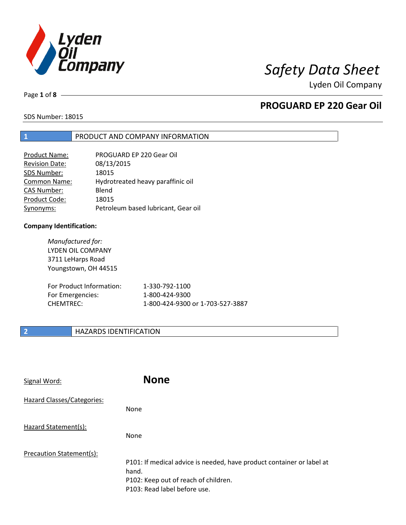

Page **1** of **8**

## **PROGUARD EP 220 Gear Oil**

SDS Number: 18015

### **1** PRODUCT AND COMPANY INFORMATION

| PROGUARD EP 220 Gear Oil            |
|-------------------------------------|
| 08/13/2015                          |
| 18015                               |
| Hydrotreated heavy paraffinic oil   |
| Blend                               |
| 18015                               |
| Petroleum based lubricant, Gear oil |
|                                     |

### **Company Identification:**

*Manufactured for:* LYDEN OIL COMPANY 3711 LeHarps Road Youngstown, OH 44515 For Product Information: 1-330-792-1100 For Emergencies: 1-800-424-9300 CHEMTREC: 1-800-424-9300 or 1-703-527-3887

### **2 HAZARDS IDENTIFICATION**

| Signal Word:               | <b>None</b>                                                                                                                                            |
|----------------------------|--------------------------------------------------------------------------------------------------------------------------------------------------------|
| Hazard Classes/Categories: | <b>None</b>                                                                                                                                            |
| Hazard Statement(s):       | <b>None</b>                                                                                                                                            |
| Precaution Statement(s):   | P101: If medical advice is needed, have product container or label at<br>hand.<br>P102: Keep out of reach of children.<br>P103: Read label before use. |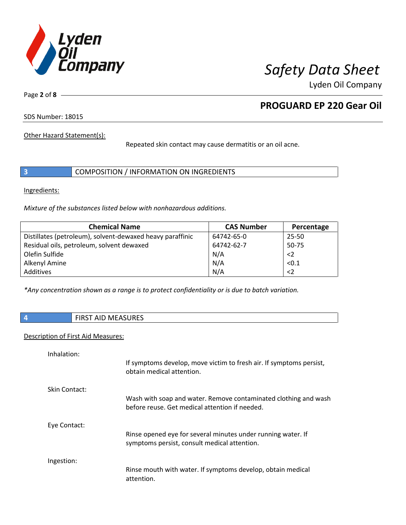

Page **2** of **8**

## **PROGUARD EP 220 Gear Oil**

SDS Number: 18015

Other Hazard Statement(s):

Repeated skin contact may cause dermatitis or an oil acne.

|  | COMPOSITION / INFORMATION ON INGREDIENTS |  |
|--|------------------------------------------|--|
|--|------------------------------------------|--|

Ingredients:

*Mixture of the substances listed below with nonhazardous additions.*

| <b>Chemical Name</b>                                      | <b>CAS Number</b> | Percentage  |
|-----------------------------------------------------------|-------------------|-------------|
| Distillates (petroleum), solvent-dewaxed heavy paraffinic | 64742-65-0        | 25-50       |
| Residual oils, petroleum, solvent dewaxed                 | 64742-62-7        | 50-75       |
| Olefin Sulfide                                            | N/A               | $\langle$ 2 |
| Alkenyl Amine                                             | N/A               | < 0.1       |
| Additives                                                 | N/A               | $\langle$ 2 |

*\*Any concentration shown as a range is to protect confidentiality or is due to batch variation.*

|  | <b>FIRST AID MEASURES</b> |
|--|---------------------------|
|--|---------------------------|

### Description of First Aid Measures:

| Inhalation:   | If symptoms develop, move victim to fresh air. If symptoms persist,<br>obtain medical attention.                  |
|---------------|-------------------------------------------------------------------------------------------------------------------|
| Skin Contact: | Wash with soap and water. Remove contaminated clothing and wash<br>before reuse. Get medical attention if needed. |
| Eye Contact:  | Rinse opened eye for several minutes under running water. If<br>symptoms persist, consult medical attention.      |
| Ingestion:    | Rinse mouth with water. If symptoms develop, obtain medical<br>attention.                                         |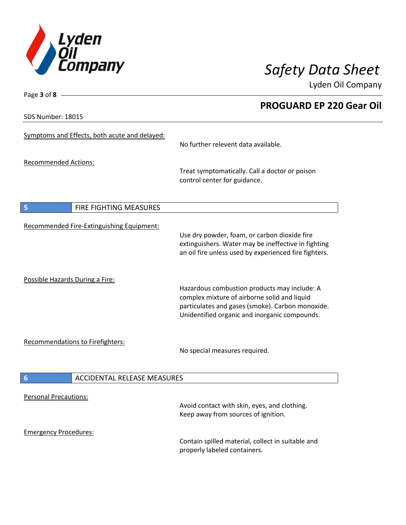

**PROGUARD EP 220 Gear Oil**

Lyden Oil Company

SDS Number: 18015

Page **3** of **8**

| <b>DU INUITINGI, 10010</b>                            |                                                                                                                                                                                                   |
|-------------------------------------------------------|---------------------------------------------------------------------------------------------------------------------------------------------------------------------------------------------------|
| Symptoms and Effects, both acute and delayed:         | No further relevent data available.                                                                                                                                                               |
| <b>Recommended Actions:</b>                           | Treat symptomatically. Call a doctor or poison<br>control center for guidance.                                                                                                                    |
| $\overline{\mathbf{5}}$<br>FIRE FIGHTING MEASURES     |                                                                                                                                                                                                   |
| Recommended Fire-Extinguishing Equipment:             | Use dry powder, foam, or carbon dioxide fire<br>extinguishers. Water may be ineffective in fighting<br>an oil fire unless used by experienced fire fighters.                                      |
| Possible Hazards During a Fire:                       | Hazardous combustion products may include: A<br>complex mixture of airborne solid and liquid<br>particulates and gases (smoke). Carbon monoxide.<br>Unidentified organic and inorganic compounds. |
| <b>Recommendations to Firefighters:</b>               | No special measures required.                                                                                                                                                                     |
| $6\phantom{1}6$<br><b>ACCIDENTAL RELEASE MEASURES</b> |                                                                                                                                                                                                   |
| <b>Personal Precautions:</b>                          | Avoid contact with skin, eyes, and clothing.<br>Keep away from sources of ignition.                                                                                                               |
| <b>Emergency Procedures:</b>                          | Contain spilled material, collect in suitable and<br>properly labeled containers.                                                                                                                 |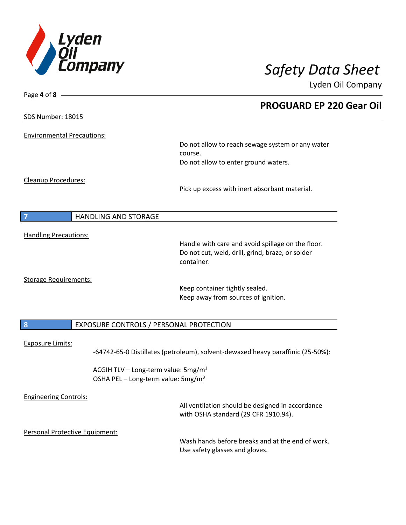

| Page 4 of 8 -                     |                                                                                                       |
|-----------------------------------|-------------------------------------------------------------------------------------------------------|
|                                   | <b>PROGUARD EP 220 Gear Oil</b>                                                                       |
| SDS Number: 18015                 |                                                                                                       |
| <b>Environmental Precautions:</b> |                                                                                                       |
|                                   | Do not allow to reach sewage system or any water                                                      |
|                                   | course.                                                                                               |
|                                   | Do not allow to enter ground waters.                                                                  |
| Cleanup Procedures:               |                                                                                                       |
|                                   | Pick up excess with inert absorbant material.                                                         |
| <b>HANDLING AND STORAGE</b><br>7  |                                                                                                       |
|                                   |                                                                                                       |
| <b>Handling Precautions:</b>      |                                                                                                       |
|                                   | Handle with care and avoid spillage on the floor.<br>Do not cut, weld, drill, grind, braze, or solder |
|                                   | container.                                                                                            |
| <b>Storage Requirements:</b>      |                                                                                                       |
|                                   | Keep container tightly sealed.                                                                        |
|                                   | Keep away from sources of ignition.                                                                   |
| $\boldsymbol{8}$                  | EXPOSURE CONTROLS / PERSONAL PROTECTION                                                               |
|                                   |                                                                                                       |
| <b>Exposure Limits:</b>           | -64742-65-0 Distillates (petroleum), solvent-dewaxed heavy paraffinic (25-50%):                       |
|                                   | ACGIH TLV - Long-term value: 5mg/m <sup>3</sup>                                                       |
|                                   | OSHA PEL - Long-term value: 5mg/m <sup>3</sup>                                                        |
| <b>Engineering Controls:</b>      |                                                                                                       |
|                                   | All ventilation should be designed in accordance                                                      |
|                                   | with OSHA standard (29 CFR 1910.94).                                                                  |
| Personal Protective Equipment:    |                                                                                                       |
|                                   | Wash hands before breaks and at the end of work.                                                      |
|                                   | Use safety glasses and gloves.                                                                        |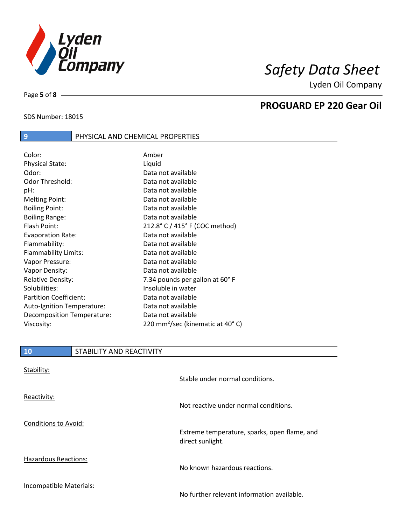

SDS Number: 18015

Page **5** of **8**

## **PROGUARD EP 220 Gear Oil**

| Color:                        | Amber                                        |
|-------------------------------|----------------------------------------------|
| <b>Physical State:</b>        | Liquid                                       |
| Odor:                         | Data not available                           |
| Odor Threshold:               | Data not available                           |
| pH:                           | Data not available                           |
| <b>Melting Point:</b>         | Data not available                           |
| <b>Boiling Point:</b>         | Data not available                           |
| <b>Boiling Range:</b>         | Data not available                           |
| <b>Flash Point:</b>           | 212.8° C / 415° F (COC method)               |
| <b>Evaporation Rate:</b>      | Data not available                           |
| Flammability:                 | Data not available                           |
| Flammability Limits:          | Data not available                           |
| Vapor Pressure:               | Data not available                           |
| Vapor Density:                | Data not available                           |
| <b>Relative Density:</b>      | 7.34 pounds per gallon at 60°F               |
| Solubilities:                 | Insoluble in water                           |
| <b>Partition Coefficient:</b> | Data not available                           |
| Auto-Ignition Temperature:    | Data not available                           |
| Decomposition Temperature:    | Data not available                           |
| Viscosity:                    | 220 mm <sup>2</sup> /sec (kinematic at 40°C) |

**9** PHYSICAL AND CHEMICAL PROPERTIES

| 10                          | STABILITY AND REACTIVITY |                                                                  |
|-----------------------------|--------------------------|------------------------------------------------------------------|
| Stability:                  |                          | Stable under normal conditions.                                  |
| Reactivity:                 |                          | Not reactive under normal conditions.                            |
| <b>Conditions to Avoid:</b> |                          | Extreme temperature, sparks, open flame, and<br>direct sunlight. |
| <b>Hazardous Reactions:</b> |                          | No known hazardous reactions.                                    |
| Incompatible Materials:     |                          | No further relevant information available.                       |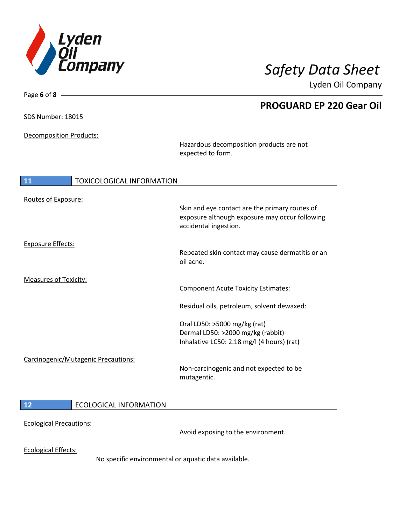

**PROGUARD EP 220 Gear Oil**

Lyden Oil Company

SDS Number: 18015

Page **6** of **8**

Decomposition Products:

Hazardous decomposition products are not expected to form.

| 11                           | <b>TOXICOLOGICAL INFORMATION</b>    |                                                                                                                                                                           |
|------------------------------|-------------------------------------|---------------------------------------------------------------------------------------------------------------------------------------------------------------------------|
| Routes of Exposure:          |                                     | Skin and eye contact are the primary routes of<br>exposure although exposure may occur following<br>accidental ingestion.                                                 |
| <b>Exposure Effects:</b>     |                                     | Repeated skin contact may cause dermatitis or an<br>oil acne.                                                                                                             |
| <b>Measures of Toxicity:</b> |                                     | <b>Component Acute Toxicity Estimates:</b>                                                                                                                                |
|                              |                                     | Residual oils, petroleum, solvent dewaxed:                                                                                                                                |
|                              | Carcinogenic/Mutagenic Precautions: | Oral LD50: >5000 mg/kg (rat)<br>Dermal LD50: >2000 mg/kg (rabbit)<br>Inhalative LC50: 2.18 mg/l (4 hours) (rat)<br>Non-carcinogenic and not expected to be<br>mutagentic. |
| 12                           | <b>ECOLOGICAL INFORMATION</b>       |                                                                                                                                                                           |

Ecological Precautions:

Avoid exposing to the environment.

Ecological Effects:

No specific environmental or aquatic data available.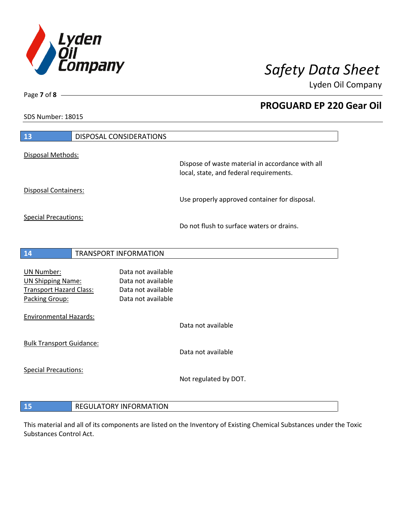

**PROGUARD EP 220 Gear Oil**

Lyden Oil Company

SDS Number: 18015

Page **7** of **8**

| 13                                                                                                | <b>DISPOSAL CONSIDERATIONS</b>                                                       |                                                                                             |
|---------------------------------------------------------------------------------------------------|--------------------------------------------------------------------------------------|---------------------------------------------------------------------------------------------|
| Disposal Methods:                                                                                 |                                                                                      | Dispose of waste material in accordance with all<br>local, state, and federal requirements. |
| <b>Disposal Containers:</b>                                                                       |                                                                                      | Use properly approved container for disposal.                                               |
| <b>Special Precautions:</b>                                                                       |                                                                                      | Do not flush to surface waters or drains.                                                   |
| 14                                                                                                | <b>TRANSPORT INFORMATION</b>                                                         |                                                                                             |
| <b>UN Number:</b><br><b>UN Shipping Name:</b><br><b>Transport Hazard Class:</b><br>Packing Group: | Data not available<br>Data not available<br>Data not available<br>Data not available |                                                                                             |
| <b>Environmental Hazards:</b>                                                                     |                                                                                      | Data not available                                                                          |
| <b>Bulk Transport Guidance:</b>                                                                   |                                                                                      | Data not available                                                                          |
| <b>Special Precautions:</b>                                                                       |                                                                                      | Not regulated by DOT.                                                                       |
|                                                                                                   |                                                                                      |                                                                                             |

# **REGULATORY INFORMATION**

This material and all of its components are listed on the Inventory of Existing Chemical Substances under the Toxic Substances Control Act.